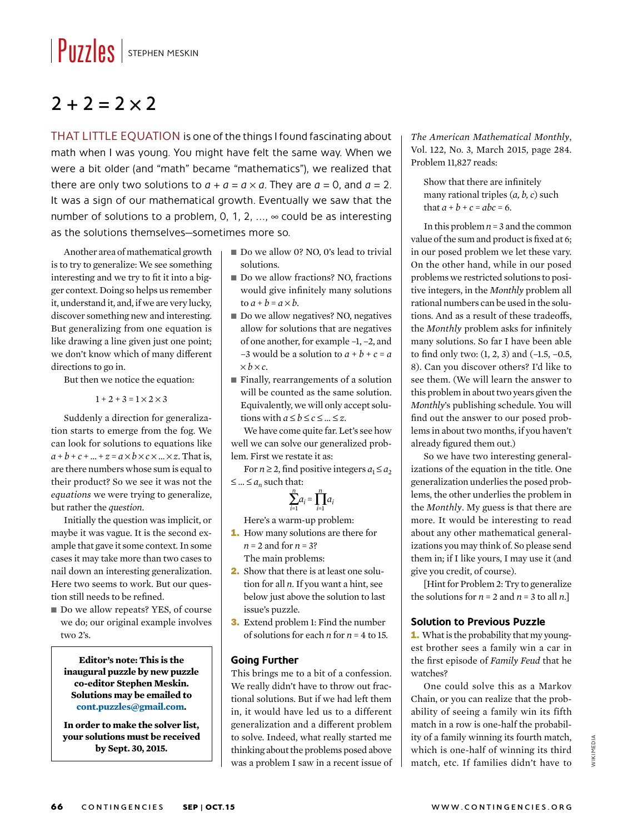## $\|$  PUZZIES  $\|$  stephen MESKIN

### $2 + 2 = 2 \times 2$

THAT LITTLE EQUATION is one of the things I found fascinating about math when I was young. You might have felt the same way. When we were a bit older (and "math" became "mathematics"), we realized that there are only two solutions to  $a + a = a \times a$ . They are  $a = 0$ , and  $a = 2$ . It was a sign of our mathematical growth. Eventually we saw that the number of solutions to a problem, 0, 1, 2, ...,  $\infty$  could be as interesting as the solutions themselves—sometimes more so.

Another area of mathematical growth is to try to generalize: We see something interesting and we try to fit it into a bigger context. Doing so helps us remember it, understand it, and, if we are very lucky, discover something new and interesting. But generalizing from one equation is like drawing a line given just one point; we don't know which of many different directions to go in.

But then we notice the equation:

 $1 + 2 + 3 = 1 \times 2 \times 3$ 

Suddenly a direction for generalization starts to emerge from the fog. We can look for solutions to equations like  $a + b + c + ... + z = a \times b \times c \times ... \times z$ . That is, are there numbers whose sum is equal to their product? So we see it was not the *equations* we were trying to generalize, but rather the *question*.

Initially the question was implicit, or maybe it was vague. It is the second example that gave it some context. In some cases it may take more than two cases to nail down an interesting generalization. Here two seems to work. But our question still needs to be refined.

■ Do we allow repeats? YES, of course we do; our original example involves two 2's.

**Editor's note: This is the inaugural puzzle by new puzzle co-editor Stephen Meskin. Solutions may be emailed to cont.puzzles@gmail.com.** 

**In order to make the solver list, your solutions must be received by Sept. 30, 2015.** 

- Do we allow 0? NO, 0's lead to trivial solutions.
- Do we allow fractions? NO, fractions would give infinitely many solutions to  $a + b = a \times b$ .
- Do we allow negatives? NO, negatives allow for solutions that are negatives of one another, for example –1, –2, and –3 would be a solution to  $a + b + c = a$  $\times b \times c$ .
- Finally, rearrangements of a solution will be counted as the same solution. Equivalently, we will only accept solutions with  $a \le b \le c \le ... \le z$ .

We have come quite far. Let's see how well we can solve our generalized problem. First we restate it as:

For  $n \geq 2$ , find positive integers  $a_1 \leq a_2$  $≤...≤ a<sub>n</sub>$  such that:

$$
\sum_{i=1}^n a_i = \prod_{i=1}^n a_i
$$

Here's a warm-up problem:

- 1. How many solutions are there for *n* = 2 and for *n* = 3? The main problems:
- 2. Show that there is at least one solution for all *n*. If you want a hint, see below just above the solution to last issue's puzzle.
- 3. Extend problem 1: Find the number of solutions for each *n* for *n* = 4 to 15.

#### **Going Further**

This brings me to a bit of a confession. We really didn't have to throw out fractional solutions. But if we had left them in, it would have led us to a different generalization and a different problem to solve. Indeed, what really started me thinking about the problems posed above was a problem I saw in a recent issue of *The American Mathematical Monthly*, Vol. 122, No. 3, March 2015, page 284. Problem 11,827 reads:

Show that there are infinitely many rational triples (*a, b, c*) such that  $a + b + c = abc = 6$ .

In this problem *n* = 3 and the common value of the sum and product is fixed at 6; in our posed problem we let these vary. On the other hand, while in our posed problems we restricted solutions to positive integers, in the *Monthly* problem all rational numbers can be used in the solutions. And as a result of these tradeoffs, the *Monthly* problem asks for infinitely many solutions. So far I have been able to find only two: (1, 2, 3) and (–1.5, –0.5, 8). Can you discover others? I'd like to see them. (We will learn the answer to this problem in about two years given the *Monthly*'s publishing schedule. You will find out the answer to our posed problems in about two months, if you haven't already figured them out.)

So we have two interesting generalizations of the equation in the title. One generalization underlies the posed problems, the other underlies the problem in the *Monthly*. My guess is that there are more. It would be interesting to read about any other mathematical generalizations you may think of. So please send them in; if I like yours, I may use it (and give you credit, of course).

[Hint for Problem 2: Try to generalize the solutions for  $n = 2$  and  $n = 3$  to all  $n$ .]

#### **Solution to Previous Puzzle**

1. What is the probability that my youngest brother sees a family win a car in the first episode of *Family Feud* that he watches?

One could solve this as a Markov Chain, or you can realize that the probability of seeing a family win its fifth match in a row is one-half the probability of a family winning its fourth match, which is one-half of winning its third match, etc. If families didn't have to